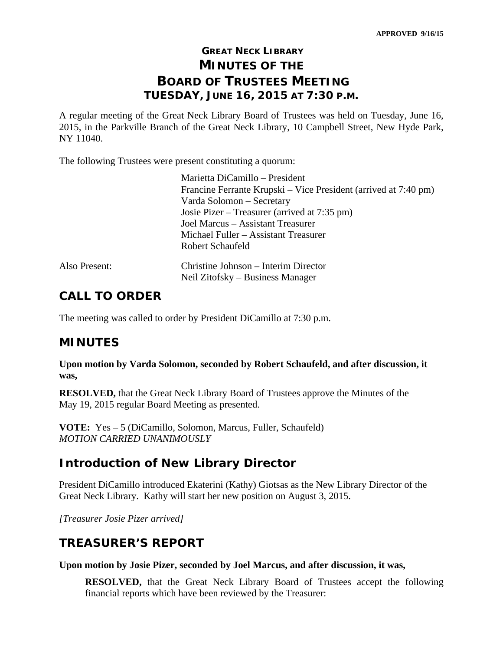# **GREAT NECK LIBRARY MINUTES OF THE BOARD OF TRUSTEES MEETING TUESDAY, JUNE 16, 2015 AT 7:30 P.M.**

A regular meeting of the Great Neck Library Board of Trustees was held on Tuesday, June 16, 2015, in the Parkville Branch of the Great Neck Library, 10 Campbell Street, New Hyde Park, NY 11040.

The following Trustees were present constituting a quorum:

| Marietta DiCamillo – President                                           |
|--------------------------------------------------------------------------|
| Francine Ferrante Krupski – Vice President (arrived at 7:40 pm)          |
| Varda Solomon - Secretary                                                |
| Josie Pizer – Treasurer (arrived at 7:35 pm)                             |
| Joel Marcus – Assistant Treasurer                                        |
| Michael Fuller – Assistant Treasurer                                     |
| <b>Robert Schaufeld</b>                                                  |
| Christine Johnson – Interim Director<br>Neil Zitofsky – Business Manager |
|                                                                          |

## **CALL TO ORDER**

The meeting was called to order by President DiCamillo at 7:30 p.m.

# **MINUTES**

**Upon motion by Varda Solomon, seconded by Robert Schaufeld, and after discussion, it was,** 

**RESOLVED,** that the Great Neck Library Board of Trustees approve the Minutes of the May 19, 2015 regular Board Meeting as presented.

**VOTE:** Yes – 5 (DiCamillo, Solomon, Marcus, Fuller, Schaufeld) *MOTION CARRIED UNANIMOUSLY* 

# **Introduction of New Library Director**

President DiCamillo introduced Ekaterini (Kathy) Giotsas as the New Library Director of the Great Neck Library. Kathy will start her new position on August 3, 2015.

*[Treasurer Josie Pizer arrived]* 

# **TREASURER'S REPORT**

**Upon motion by Josie Pizer, seconded by Joel Marcus, and after discussion, it was,** 

**RESOLVED,** that the Great Neck Library Board of Trustees accept the following financial reports which have been reviewed by the Treasurer: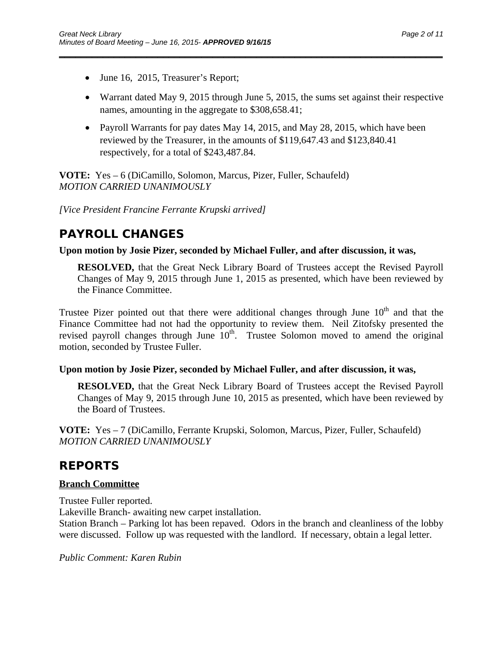- June 16, 2015, Treasurer's Report;
- Warrant dated May 9, 2015 through June 5, 2015, the sums set against their respective names, amounting in the aggregate to \$308,658.41;
- Payroll Warrants for pay dates May 14, 2015, and May 28, 2015, which have been reviewed by the Treasurer, in the amounts of \$119,647.43 and \$123,840.41 respectively, for a total of \$243,487.84.

\_\_\_\_\_\_\_\_\_\_\_\_\_\_\_\_\_\_\_\_\_\_\_\_\_\_\_\_\_\_\_\_\_\_\_\_\_\_\_\_\_\_\_\_\_\_\_\_\_\_\_\_\_\_\_\_\_\_\_\_\_\_\_\_\_\_\_\_\_\_

**VOTE:** Yes – 6 (DiCamillo, Solomon, Marcus, Pizer, Fuller, Schaufeld) *MOTION CARRIED UNANIMOUSLY* 

*[Vice President Francine Ferrante Krupski arrived]* 

# **PAYROLL CHANGES**

**Upon motion by Josie Pizer, seconded by Michael Fuller, and after discussion, it was,** 

**RESOLVED,** that the Great Neck Library Board of Trustees accept the Revised Payroll Changes of May 9, 2015 through June 1, 2015 as presented, which have been reviewed by the Finance Committee.

Trustee Pizer pointed out that there were additional changes through June  $10<sup>th</sup>$  and that the Finance Committee had not had the opportunity to review them. Neil Zitofsky presented the revised payroll changes through June  $10<sup>th</sup>$ . Trustee Solomon moved to amend the original motion, seconded by Trustee Fuller.

## **Upon motion by Josie Pizer, seconded by Michael Fuller, and after discussion, it was,**

**RESOLVED,** that the Great Neck Library Board of Trustees accept the Revised Payroll Changes of May 9, 2015 through June 10, 2015 as presented, which have been reviewed by the Board of Trustees.

**VOTE:** Yes – 7 (DiCamillo, Ferrante Krupski, Solomon, Marcus, Pizer, Fuller, Schaufeld) *MOTION CARRIED UNANIMOUSLY* 

# **REPORTS**

## **Branch Committee**

Trustee Fuller reported.

Lakeville Branch- awaiting new carpet installation.

Station Branch – Parking lot has been repaved. Odors in the branch and cleanliness of the lobby were discussed. Follow up was requested with the landlord. If necessary, obtain a legal letter.

*Public Comment: Karen Rubin*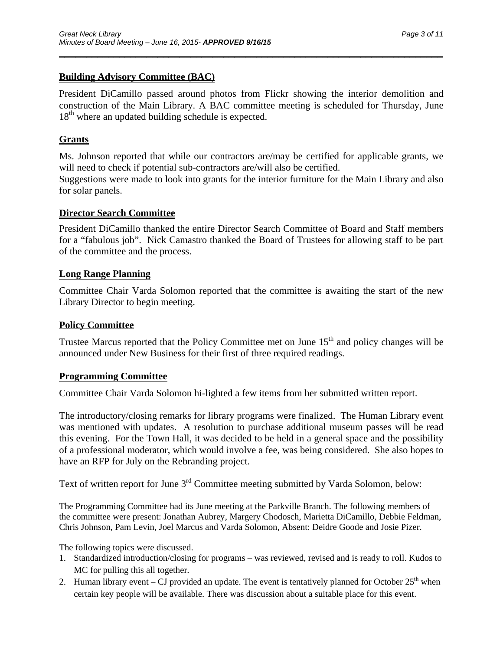## **Building Advisory Committee (BAC)**

President DiCamillo passed around photos from Flickr showing the interior demolition and construction of the Main Library. A BAC committee meeting is scheduled for Thursday, June  $18<sup>th</sup>$  where an updated building schedule is expected.

\_\_\_\_\_\_\_\_\_\_\_\_\_\_\_\_\_\_\_\_\_\_\_\_\_\_\_\_\_\_\_\_\_\_\_\_\_\_\_\_\_\_\_\_\_\_\_\_\_\_\_\_\_\_\_\_\_\_\_\_\_\_\_\_\_\_\_\_\_\_

## **Grants**

Ms. Johnson reported that while our contractors are/may be certified for applicable grants, we will need to check if potential sub-contractors are/will also be certified.

Suggestions were made to look into grants for the interior furniture for the Main Library and also for solar panels.

## **Director Search Committee**

President DiCamillo thanked the entire Director Search Committee of Board and Staff members for a "fabulous job". Nick Camastro thanked the Board of Trustees for allowing staff to be part of the committee and the process.

## **Long Range Planning**

Committee Chair Varda Solomon reported that the committee is awaiting the start of the new Library Director to begin meeting.

## **Policy Committee**

Trustee Marcus reported that the Policy Committee met on June  $15<sup>th</sup>$  and policy changes will be announced under New Business for their first of three required readings.

## **Programming Committee**

Committee Chair Varda Solomon hi-lighted a few items from her submitted written report.

The introductory/closing remarks for library programs were finalized. The Human Library event was mentioned with updates. A resolution to purchase additional museum passes will be read this evening. For the Town Hall, it was decided to be held in a general space and the possibility of a professional moderator, which would involve a fee, was being considered. She also hopes to have an RFP for July on the Rebranding project.

Text of written report for June 3<sup>rd</sup> Committee meeting submitted by Varda Solomon, below:

The Programming Committee had its June meeting at the Parkville Branch. The following members of the committee were present: Jonathan Aubrey, Margery Chodosch, Marietta DiCamillo, Debbie Feldman, Chris Johnson, Pam Levin, Joel Marcus and Varda Solomon, Absent: Deidre Goode and Josie Pizer.

The following topics were discussed.

- 1. Standardized introduction/closing for programs was reviewed, revised and is ready to roll. Kudos to MC for pulling this all together.
- 2. Human library event CJ provided an update. The event is tentatively planned for October  $25<sup>th</sup>$  when certain key people will be available. There was discussion about a suitable place for this event.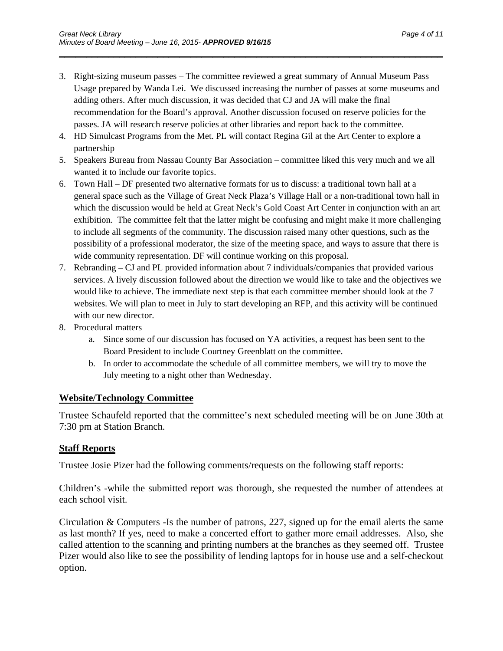3. Right-sizing museum passes – The committee reviewed a great summary of Annual Museum Pass Usage prepared by Wanda Lei. We discussed increasing the number of passes at some museums and adding others. After much discussion, it was decided that CJ and JA will make the final recommendation for the Board's approval. Another discussion focused on reserve policies for the passes. JA will research reserve policies at other libraries and report back to the committee.

\_\_\_\_\_\_\_\_\_\_\_\_\_\_\_\_\_\_\_\_\_\_\_\_\_\_\_\_\_\_\_\_\_\_\_\_\_\_\_\_\_\_\_\_\_\_\_\_\_\_\_\_\_\_\_\_\_\_\_\_\_\_\_\_\_\_\_\_\_\_

- 4. HD Simulcast Programs from the Met. PL will contact Regina Gil at the Art Center to explore a partnership
- 5. Speakers Bureau from Nassau County Bar Association committee liked this very much and we all wanted it to include our favorite topics.
- 6. Town Hall DF presented two alternative formats for us to discuss: a traditional town hall at a general space such as the Village of Great Neck Plaza's Village Hall or a non-traditional town hall in which the discussion would be held at Great Neck's Gold Coast Art Center in conjunction with an art exhibition. The committee felt that the latter might be confusing and might make it more challenging to include all segments of the community. The discussion raised many other questions, such as the possibility of a professional moderator, the size of the meeting space, and ways to assure that there is wide community representation. DF will continue working on this proposal.
- 7. Rebranding CJ and PL provided information about 7 individuals/companies that provided various services. A lively discussion followed about the direction we would like to take and the objectives we would like to achieve. The immediate next step is that each committee member should look at the 7 websites. We will plan to meet in July to start developing an RFP, and this activity will be continued with our new director.
- 8. Procedural matters
	- a. Since some of our discussion has focused on YA activities, a request has been sent to the Board President to include Courtney Greenblatt on the committee.
	- b. In order to accommodate the schedule of all committee members, we will try to move the July meeting to a night other than Wednesday.

## **Website/Technology Committee**

Trustee Schaufeld reported that the committee's next scheduled meeting will be on June 30th at 7:30 pm at Station Branch.

## **Staff Reports**

Trustee Josie Pizer had the following comments/requests on the following staff reports:

Children's -while the submitted report was thorough, she requested the number of attendees at each school visit.

Circulation & Computers -Is the number of patrons, 227, signed up for the email alerts the same as last month? If yes, need to make a concerted effort to gather more email addresses. Also, she called attention to the scanning and printing numbers at the branches as they seemed off. Trustee Pizer would also like to see the possibility of lending laptops for in house use and a self-checkout option.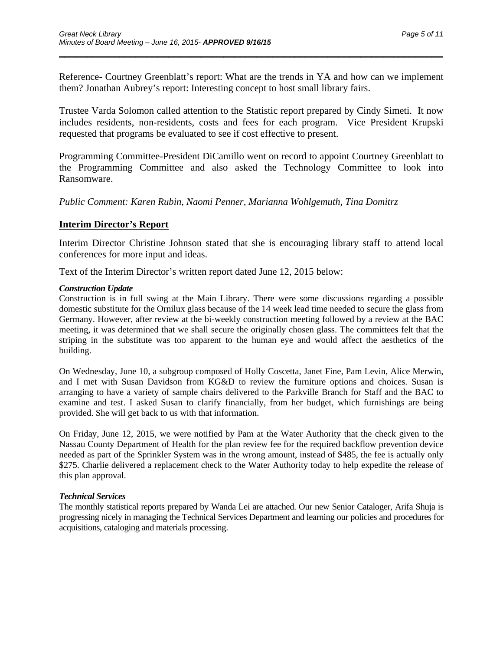Reference- Courtney Greenblatt's report: What are the trends in YA and how can we implement them? Jonathan Aubrey's report: Interesting concept to host small library fairs.

\_\_\_\_\_\_\_\_\_\_\_\_\_\_\_\_\_\_\_\_\_\_\_\_\_\_\_\_\_\_\_\_\_\_\_\_\_\_\_\_\_\_\_\_\_\_\_\_\_\_\_\_\_\_\_\_\_\_\_\_\_\_\_\_\_\_\_\_\_\_

Trustee Varda Solomon called attention to the Statistic report prepared by Cindy Simeti. It now includes residents, non-residents, costs and fees for each program. Vice President Krupski requested that programs be evaluated to see if cost effective to present.

Programming Committee-President DiCamillo went on record to appoint Courtney Greenblatt to the Programming Committee and also asked the Technology Committee to look into Ransomware.

*Public Comment: Karen Rubin, Naomi Penner, Marianna Wohlgemuth, Tina Domitrz* 

#### **Interim Director's Report**

Interim Director Christine Johnson stated that she is encouraging library staff to attend local conferences for more input and ideas.

Text of the Interim Director's written report dated June 12, 2015 below:

#### *Construction Update*

Construction is in full swing at the Main Library. There were some discussions regarding a possible domestic substitute for the Ornilux glass because of the 14 week lead time needed to secure the glass from Germany. However, after review at the bi-weekly construction meeting followed by a review at the BAC meeting, it was determined that we shall secure the originally chosen glass. The committees felt that the striping in the substitute was too apparent to the human eye and would affect the aesthetics of the building.

On Wednesday, June 10, a subgroup composed of Holly Coscetta, Janet Fine, Pam Levin, Alice Merwin, and I met with Susan Davidson from KG&D to review the furniture options and choices. Susan is arranging to have a variety of sample chairs delivered to the Parkville Branch for Staff and the BAC to examine and test. I asked Susan to clarify financially, from her budget, which furnishings are being provided. She will get back to us with that information.

On Friday, June 12, 2015, we were notified by Pam at the Water Authority that the check given to the Nassau County Department of Health for the plan review fee for the required backflow prevention device needed as part of the Sprinkler System was in the wrong amount, instead of \$485, the fee is actually only \$275. Charlie delivered a replacement check to the Water Authority today to help expedite the release of this plan approval.

#### *Technical Services*

The monthly statistical reports prepared by Wanda Lei are attached. Our new Senior Cataloger, Arifa Shuja is progressing nicely in managing the Technical Services Department and learning our policies and procedures for acquisitions, cataloging and materials processing.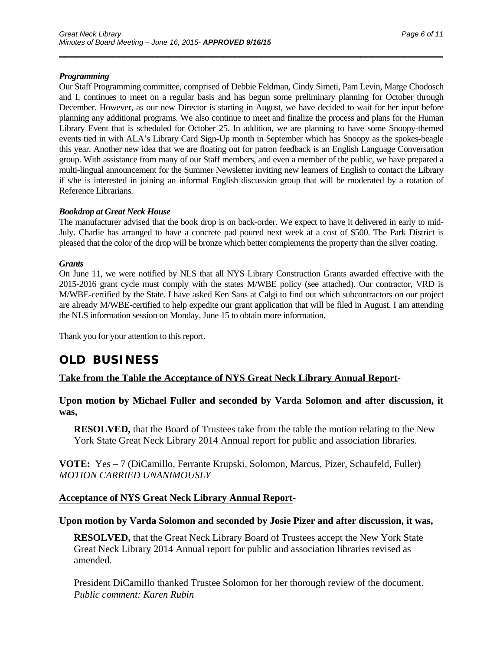#### *Programming*

Our Staff Programming committee, comprised of Debbie Feldman, Cindy Simeti, Pam Levin, Marge Chodosch and I, continues to meet on a regular basis and has begun some preliminary planning for October through December. However, as our new Director is starting in August, we have decided to wait for her input before planning any additional programs. We also continue to meet and finalize the process and plans for the Human Library Event that is scheduled for October 25. In addition, we are planning to have some Snoopy-themed events tied in with ALA's Library Card Sign-Up month in September which has Snoopy as the spokes-beagle this year. Another new idea that we are floating out for patron feedback is an English Language Conversation group. With assistance from many of our Staff members, and even a member of the public, we have prepared a multi-lingual announcement for the Summer Newsletter inviting new learners of English to contact the Library if s/he is interested in joining an informal English discussion group that will be moderated by a rotation of Reference Librarians.

\_\_\_\_\_\_\_\_\_\_\_\_\_\_\_\_\_\_\_\_\_\_\_\_\_\_\_\_\_\_\_\_\_\_\_\_\_\_\_\_\_\_\_\_\_\_\_\_\_\_\_\_\_\_\_\_\_\_\_\_\_\_\_\_\_\_\_\_\_\_

#### *Bookdrop at Great Neck House*

The manufacturer advised that the book drop is on back-order. We expect to have it delivered in early to mid-July. Charlie has arranged to have a concrete pad poured next week at a cost of \$500. The Park District is pleased that the color of the drop will be bronze which better complements the property than the silver coating.

#### *Grants*

On June 11, we were notified by NLS that all NYS Library Construction Grants awarded effective with the 2015-2016 grant cycle must comply with the states M/WBE policy (see attached). Our contractor, VRD is M/WBE-certified by the State. I have asked Ken Sans at Calgi to find out which subcontractors on our project are already M/WBE-certified to help expedite our grant application that will be filed in August. I am attending the NLS information session on Monday, June 15 to obtain more information.

Thank you for your attention to this report.

## **OLD BUSINESS**

#### **Take from the Table the Acceptance of NYS Great Neck Library Annual Report-**

**Upon motion by Michael Fuller and seconded by Varda Solomon and after discussion, it was,** 

**RESOLVED,** that the Board of Trustees take from the table the motion relating to the New York State Great Neck Library 2014 Annual report for public and association libraries.

**VOTE:** Yes – 7 (DiCamillo, Ferrante Krupski, Solomon, Marcus, Pizer, Schaufeld, Fuller) *MOTION CARRIED UNANIMOUSLY* 

#### **Acceptance of NYS Great Neck Library Annual Report-**

#### **Upon motion by Varda Solomon and seconded by Josie Pizer and after discussion, it was,**

**RESOLVED,** that the Great Neck Library Board of Trustees accept the New York State Great Neck Library 2014 Annual report for public and association libraries revised as amended.

President DiCamillo thanked Trustee Solomon for her thorough review of the document. *Public comment: Karen Rubin*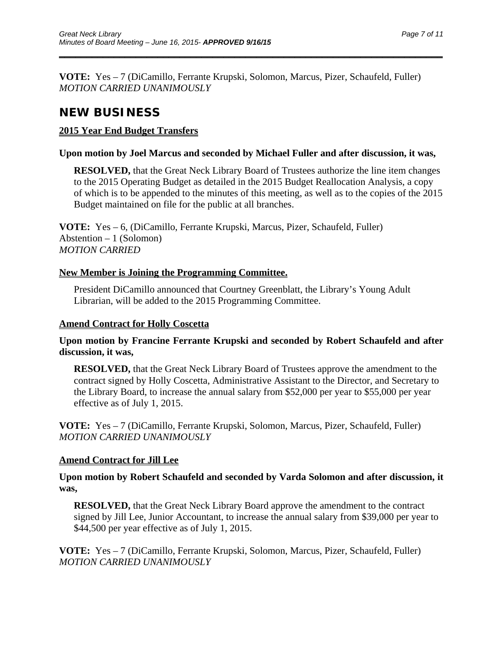**VOTE:** Yes – 7 (DiCamillo, Ferrante Krupski, Solomon, Marcus, Pizer, Schaufeld, Fuller) *MOTION CARRIED UNANIMOUSLY* 

\_\_\_\_\_\_\_\_\_\_\_\_\_\_\_\_\_\_\_\_\_\_\_\_\_\_\_\_\_\_\_\_\_\_\_\_\_\_\_\_\_\_\_\_\_\_\_\_\_\_\_\_\_\_\_\_\_\_\_\_\_\_\_\_\_\_\_\_\_\_

# **NEW BUSINESS**

## **2015 Year End Budget Transfers**

## **Upon motion by Joel Marcus and seconded by Michael Fuller and after discussion, it was,**

**RESOLVED,** that the Great Neck Library Board of Trustees authorize the line item changes to the 2015 Operating Budget as detailed in the 2015 Budget Reallocation Analysis, a copy of which is to be appended to the minutes of this meeting, as well as to the copies of the 2015 Budget maintained on file for the public at all branches.

**VOTE:** Yes – 6, (DiCamillo, Ferrante Krupski, Marcus, Pizer, Schaufeld, Fuller) Abstention – 1 (Solomon) *MOTION CARRIED* 

## **New Member is Joining the Programming Committee.**

President DiCamillo announced that Courtney Greenblatt, the Library's Young Adult Librarian, will be added to the 2015 Programming Committee.

## **Amend Contract for Holly Coscetta**

## **Upon motion by Francine Ferrante Krupski and seconded by Robert Schaufeld and after discussion, it was,**

**RESOLVED,** that the Great Neck Library Board of Trustees approve the amendment to the contract signed by Holly Coscetta, Administrative Assistant to the Director, and Secretary to the Library Board, to increase the annual salary from \$52,000 per year to \$55,000 per year effective as of July 1, 2015.

**VOTE:** Yes – 7 (DiCamillo, Ferrante Krupski, Solomon, Marcus, Pizer, Schaufeld, Fuller) *MOTION CARRIED UNANIMOUSLY* 

## **Amend Contract for Jill Lee**

**Upon motion by Robert Schaufeld and seconded by Varda Solomon and after discussion, it was,** 

**RESOLVED,** that the Great Neck Library Board approve the amendment to the contract signed by Jill Lee, Junior Accountant, to increase the annual salary from \$39,000 per year to \$44,500 per year effective as of July 1, 2015.

**VOTE:** Yes – 7 (DiCamillo, Ferrante Krupski, Solomon, Marcus, Pizer, Schaufeld, Fuller) *MOTION CARRIED UNANIMOUSLY*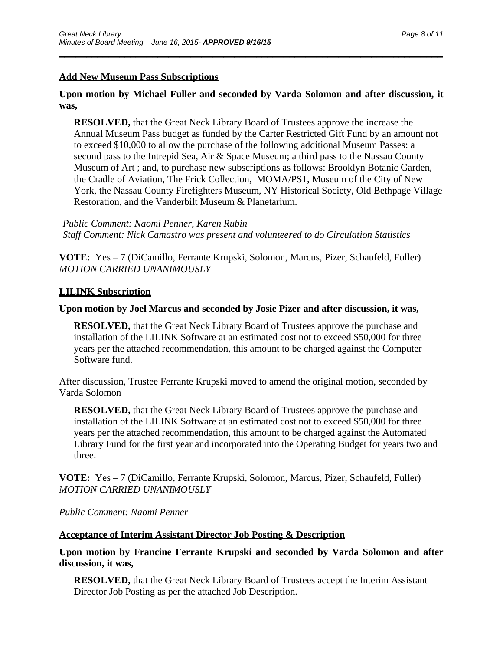## **Add New Museum Pass Subscriptions**

## **Upon motion by Michael Fuller and seconded by Varda Solomon and after discussion, it was,**

\_\_\_\_\_\_\_\_\_\_\_\_\_\_\_\_\_\_\_\_\_\_\_\_\_\_\_\_\_\_\_\_\_\_\_\_\_\_\_\_\_\_\_\_\_\_\_\_\_\_\_\_\_\_\_\_\_\_\_\_\_\_\_\_\_\_\_\_\_\_

**RESOLVED,** that the Great Neck Library Board of Trustees approve the increase the Annual Museum Pass budget as funded by the Carter Restricted Gift Fund by an amount not to exceed \$10,000 to allow the purchase of the following additional Museum Passes: a second pass to the Intrepid Sea, Air & Space Museum; a third pass to the Nassau County Museum of Art ; and, to purchase new subscriptions as follows: Brooklyn Botanic Garden, the Cradle of Aviation, The Frick Collection, MOMA/PS1, Museum of the City of New York, the Nassau County Firefighters Museum, NY Historical Society, Old Bethpage Village Restoration, and the Vanderbilt Museum & Planetarium.

*Public Comment: Naomi Penner, Karen Rubin Staff Comment: Nick Camastro was present and volunteered to do Circulation Statistics* 

**VOTE:** Yes – 7 (DiCamillo, Ferrante Krupski, Solomon, Marcus, Pizer, Schaufeld, Fuller) *MOTION CARRIED UNANIMOUSLY* 

## **LILINK Subscription**

## **Upon motion by Joel Marcus and seconded by Josie Pizer and after discussion, it was,**

**RESOLVED,** that the Great Neck Library Board of Trustees approve the purchase and installation of the LILINK Software at an estimated cost not to exceed \$50,000 for three years per the attached recommendation, this amount to be charged against the Computer Software fund.

After discussion, Trustee Ferrante Krupski moved to amend the original motion, seconded by Varda Solomon

**RESOLVED,** that the Great Neck Library Board of Trustees approve the purchase and installation of the LILINK Software at an estimated cost not to exceed \$50,000 for three years per the attached recommendation, this amount to be charged against the Automated Library Fund for the first year and incorporated into the Operating Budget for years two and three.

**VOTE:** Yes – 7 (DiCamillo, Ferrante Krupski, Solomon, Marcus, Pizer, Schaufeld, Fuller) *MOTION CARRIED UNANIMOUSLY* 

*Public Comment: Naomi Penner* 

## **Acceptance of Interim Assistant Director Job Posting & Description**

**Upon motion by Francine Ferrante Krupski and seconded by Varda Solomon and after discussion, it was,** 

**RESOLVED,** that the Great Neck Library Board of Trustees accept the Interim Assistant Director Job Posting as per the attached Job Description.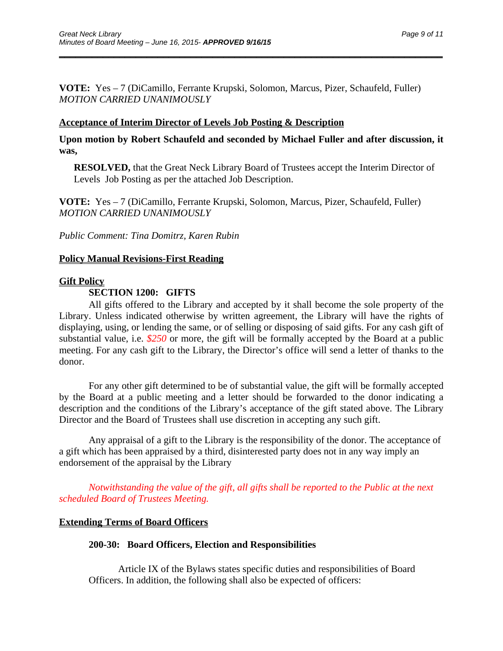**VOTE:** Yes – 7 (DiCamillo, Ferrante Krupski, Solomon, Marcus, Pizer, Schaufeld, Fuller) *MOTION CARRIED UNANIMOUSLY* 

\_\_\_\_\_\_\_\_\_\_\_\_\_\_\_\_\_\_\_\_\_\_\_\_\_\_\_\_\_\_\_\_\_\_\_\_\_\_\_\_\_\_\_\_\_\_\_\_\_\_\_\_\_\_\_\_\_\_\_\_\_\_\_\_\_\_\_\_\_\_

### **Acceptance of Interim Director of Levels Job Posting & Description**

**Upon motion by Robert Schaufeld and seconded by Michael Fuller and after discussion, it was,** 

**RESOLVED,** that the Great Neck Library Board of Trustees accept the Interim Director of Levels Job Posting as per the attached Job Description.

**VOTE:** Yes – 7 (DiCamillo, Ferrante Krupski, Solomon, Marcus, Pizer, Schaufeld, Fuller) *MOTION CARRIED UNANIMOUSLY* 

*Public Comment: Tina Domitrz, Karen Rubin* 

#### **Policy Manual Revisions-First Reading**

#### **Gift Policy**

## **SECTION 1200: GIFTS**

All gifts offered to the Library and accepted by it shall become the sole property of the Library. Unless indicated otherwise by written agreement, the Library will have the rights of displaying, using, or lending the same, or of selling or disposing of said gifts. For any cash gift of substantial value, i.e. *\$250* or more, the gift will be formally accepted by the Board at a public meeting. For any cash gift to the Library, the Director's office will send a letter of thanks to the donor.

For any other gift determined to be of substantial value, the gift will be formally accepted by the Board at a public meeting and a letter should be forwarded to the donor indicating a description and the conditions of the Library's acceptance of the gift stated above. The Library Director and the Board of Trustees shall use discretion in accepting any such gift.

Any appraisal of a gift to the Library is the responsibility of the donor. The acceptance of a gift which has been appraised by a third, disinterested party does not in any way imply an endorsement of the appraisal by the Library

*Notwithstanding the value of the gift, all gifts shall be reported to the Public at the next scheduled Board of Trustees Meeting.* 

## **Extending Terms of Board Officers**

#### **200-30: Board Officers, Election and Responsibilities**

Article IX of the Bylaws states specific duties and responsibilities of Board Officers. In addition, the following shall also be expected of officers: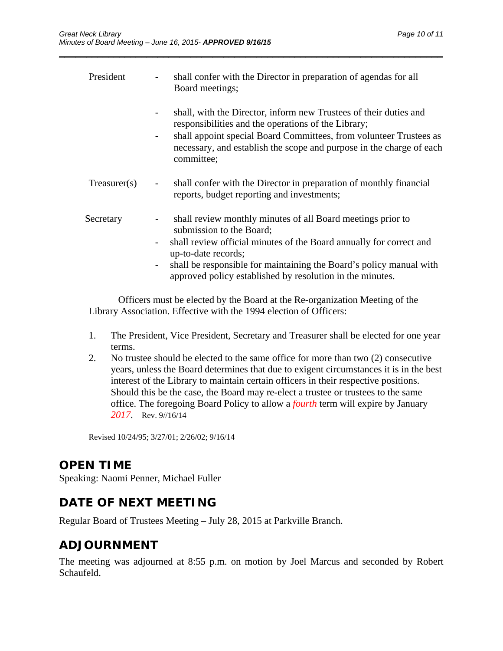| President          | shall confer with the Director in preparation of agendas for all<br>Board meetings;                                                                                                                                                                                                                                       |
|--------------------|---------------------------------------------------------------------------------------------------------------------------------------------------------------------------------------------------------------------------------------------------------------------------------------------------------------------------|
|                    | shall, with the Director, inform new Trustees of their duties and<br>responsibilities and the operations of the Library;<br>shall appoint special Board Committees, from volunteer Trustees as<br>necessary, and establish the scope and purpose in the charge of each<br>committee;                                      |
| $T$ reasurer $(s)$ | shall confer with the Director in preparation of monthly financial<br>reports, budget reporting and investments;                                                                                                                                                                                                          |
| Secretary          | shall review monthly minutes of all Board meetings prior to<br>submission to the Board;<br>shall review official minutes of the Board annually for correct and<br>up-to-date records;<br>shall be responsible for maintaining the Board's policy manual with<br>approved policy established by resolution in the minutes. |

\_\_\_\_\_\_\_\_\_\_\_\_\_\_\_\_\_\_\_\_\_\_\_\_\_\_\_\_\_\_\_\_\_\_\_\_\_\_\_\_\_\_\_\_\_\_\_\_\_\_\_\_\_\_\_\_\_\_\_\_\_\_\_\_\_\_\_\_\_\_

Officers must be elected by the Board at the Re-organization Meeting of the Library Association. Effective with the 1994 election of Officers:

- 1. The President, Vice President, Secretary and Treasurer shall be elected for one year terms.
- 2. No trustee should be elected to the same office for more than two (2) consecutive years, unless the Board determines that due to exigent circumstances it is in the best interest of the Library to maintain certain officers in their respective positions. Should this be the case, the Board may re-elect a trustee or trustees to the same office. The foregoing Board Policy to allow a *fourth* term will expire by January *2017*. Rev. 9//16/14

Revised 10/24/95; 3/27/01; 2/26/02; 9/16/14

# **OPEN TIME**

Speaking: Naomi Penner, Michael Fuller

# **DATE OF NEXT MEETING**

Regular Board of Trustees Meeting – July 28, 2015 at Parkville Branch.

## **ADJOURNMENT**

The meeting was adjourned at 8:55 p.m. on motion by Joel Marcus and seconded by Robert Schaufeld.